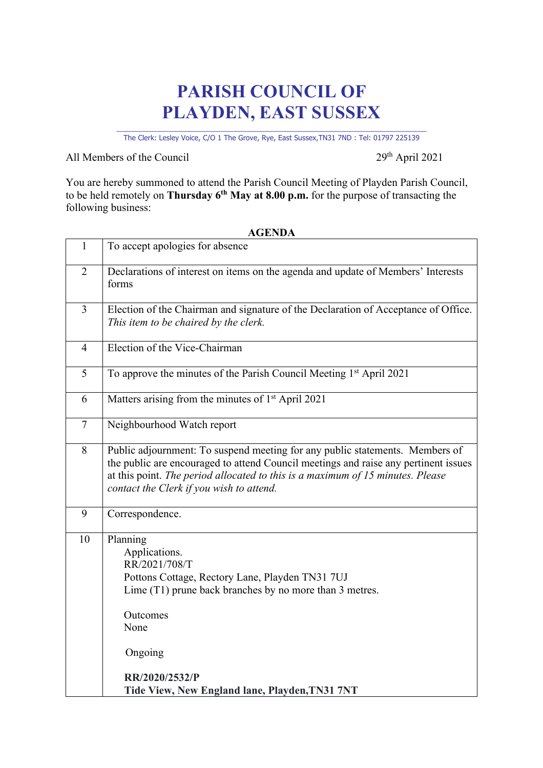## **PARISH COUNCIL OF PLAYDEN, EAST SUSSEX**

\_\_\_\_\_\_\_\_\_\_\_\_\_\_\_\_\_\_\_\_\_\_\_\_\_\_\_\_\_\_\_\_\_\_\_\_\_\_\_\_\_\_\_\_\_\_\_\_\_\_\_\_\_\_\_\_\_\_\_\_\_\_\_\_\_\_\_\_ The Clerk: Lesley Voice, C/O 1 The Grove, Rye, East Sussex,TN31 7ND : Tel: 01797 225139

All Members of the Council 29<sup>th</sup> April 2021

You are hereby summoned to attend the Parish Council Meeting of Playden Parish Council, to be held remotely on **Thursday 6th May at 8.00 p.m.** for the purpose of transacting the following business:

| $\mathbf{1}$   | To accept apologies for absence                                                                                                                                                                                                                                                                   |
|----------------|---------------------------------------------------------------------------------------------------------------------------------------------------------------------------------------------------------------------------------------------------------------------------------------------------|
| $\overline{2}$ | Declarations of interest on items on the agenda and update of Members' Interests<br>forms                                                                                                                                                                                                         |
| 3              | Election of the Chairman and signature of the Declaration of Acceptance of Office.<br>This item to be chaired by the clerk.                                                                                                                                                                       |
| $\overline{4}$ | Election of the Vice-Chairman                                                                                                                                                                                                                                                                     |
| 5              | To approve the minutes of the Parish Council Meeting 1st April 2021                                                                                                                                                                                                                               |
| 6              | Matters arising from the minutes of 1 <sup>st</sup> April 2021                                                                                                                                                                                                                                    |
| $\tau$         | Neighbourhood Watch report                                                                                                                                                                                                                                                                        |
| 8              | Public adjournment: To suspend meeting for any public statements. Members of<br>the public are encouraged to attend Council meetings and raise any pertinent issues<br>at this point. The period allocated to this is a maximum of 15 minutes. Please<br>contact the Clerk if you wish to attend. |
| 9              | Correspondence.                                                                                                                                                                                                                                                                                   |
| 10             | Planning<br>Applications.<br>RR/2021/708/T<br>Pottons Cottage, Rectory Lane, Playden TN31 7UJ<br>Lime (T1) prune back branches by no more than 3 metres.<br>Outcomes<br>None<br>Ongoing<br>RR/2020/2532/P                                                                                         |
|                | Tide View, New England lane, Playden, TN31 7NT                                                                                                                                                                                                                                                    |

## **AGENDA**